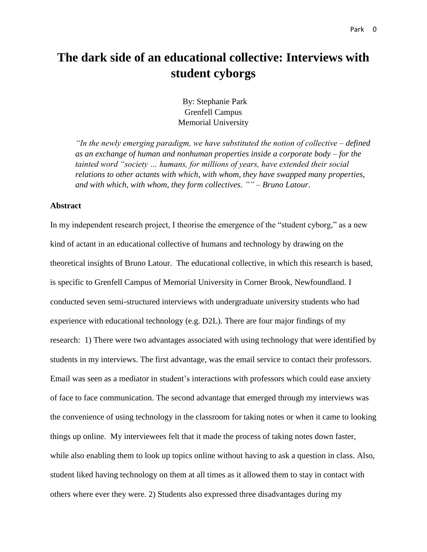# **The dark side of an educational collective: Interviews with student cyborgs**

By: Stephanie Park Grenfell Campus Memorial University

*"In the newly emerging paradigm, we have substituted the notion of collective – defined as an exchange of human and nonhuman properties inside a corporate body – for the tainted word "society … humans, for millions of years, have extended their social relations to other actants with which, with whom, they have swapped many properties, and with which, with whom, they form collectives. "" – Bruno Latour.* 

#### **Abstract**

In my independent research project, I theorise the emergence of the "student cyborg," as a new kind of actant in an educational collective of humans and technology by drawing on the theoretical insights of Bruno Latour. The educational collective, in which this research is based, is specific to Grenfell Campus of Memorial University in Corner Brook, Newfoundland. I conducted seven semi-structured interviews with undergraduate university students who had experience with educational technology (e.g. D2L). There are four major findings of my research: 1) There were two advantages associated with using technology that were identified by students in my interviews. The first advantage, was the email service to contact their professors. Email was seen as a mediator in student's interactions with professors which could ease anxiety of face to face communication. The second advantage that emerged through my interviews was the convenience of using technology in the classroom for taking notes or when it came to looking things up online. My interviewees felt that it made the process of taking notes down faster, while also enabling them to look up topics online without having to ask a question in class. Also, student liked having technology on them at all times as it allowed them to stay in contact with others where ever they were. 2) Students also expressed three disadvantages during my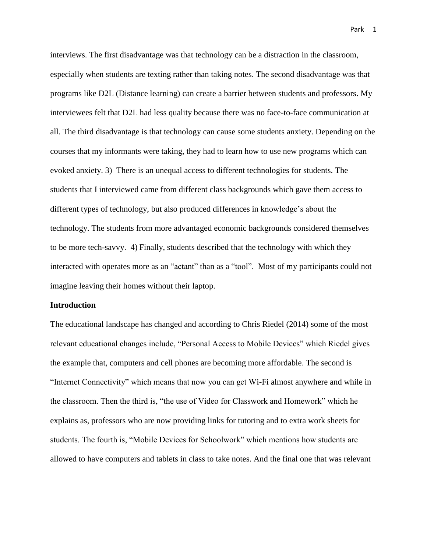interviews. The first disadvantage was that technology can be a distraction in the classroom, especially when students are texting rather than taking notes. The second disadvantage was that programs like D2L (Distance learning) can create a barrier between students and professors. My interviewees felt that D2L had less quality because there was no face-to-face communication at all. The third disadvantage is that technology can cause some students anxiety. Depending on the courses that my informants were taking, they had to learn how to use new programs which can evoked anxiety. 3) There is an unequal access to different technologies for students. The students that I interviewed came from different class backgrounds which gave them access to different types of technology, but also produced differences in knowledge's about the technology. The students from more advantaged economic backgrounds considered themselves to be more tech-savvy. 4) Finally, students described that the technology with which they interacted with operates more as an "actant" than as a "tool". Most of my participants could not imagine leaving their homes without their laptop.

#### **Introduction**

The educational landscape has changed and according to Chris Riedel (2014) some of the most relevant educational changes include, "Personal Access to Mobile Devices" which Riedel gives the example that, computers and cell phones are becoming more affordable. The second is "Internet Connectivity" which means that now you can get Wi-Fi almost anywhere and while in the classroom. Then the third is, "the use of Video for Classwork and Homework" which he explains as, professors who are now providing links for tutoring and to extra work sheets for students. The fourth is, "Mobile Devices for Schoolwork" which mentions how students are allowed to have computers and tablets in class to take notes. And the final one that was relevant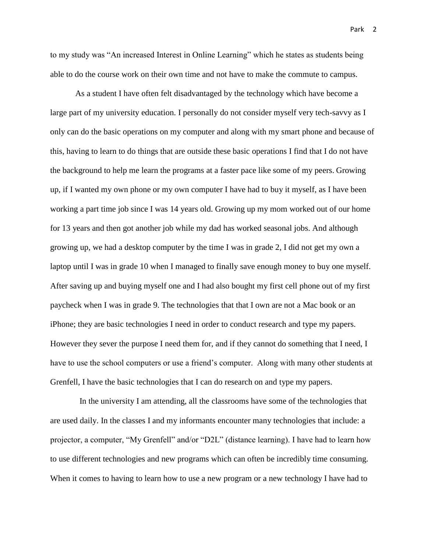to my study was "An increased Interest in Online Learning" which he states as students being able to do the course work on their own time and not have to make the commute to campus.

As a student I have often felt disadvantaged by the technology which have become a large part of my university education. I personally do not consider myself very tech-savvy as I only can do the basic operations on my computer and along with my smart phone and because of this, having to learn to do things that are outside these basic operations I find that I do not have the background to help me learn the programs at a faster pace like some of my peers. Growing up, if I wanted my own phone or my own computer I have had to buy it myself, as I have been working a part time job since I was 14 years old. Growing up my mom worked out of our home for 13 years and then got another job while my dad has worked seasonal jobs. And although growing up, we had a desktop computer by the time I was in grade 2, I did not get my own a laptop until I was in grade 10 when I managed to finally save enough money to buy one myself. After saving up and buying myself one and I had also bought my first cell phone out of my first paycheck when I was in grade 9. The technologies that that I own are not a Mac book or an iPhone; they are basic technologies I need in order to conduct research and type my papers. However they sever the purpose I need them for, and if they cannot do something that I need, I have to use the school computers or use a friend's computer. Along with many other students at Grenfell, I have the basic technologies that I can do research on and type my papers.

 In the university I am attending, all the classrooms have some of the technologies that are used daily. In the classes I and my informants encounter many technologies that include: a projector, a computer, "My Grenfell" and/or "D2L" (distance learning). I have had to learn how to use different technologies and new programs which can often be incredibly time consuming. When it comes to having to learn how to use a new program or a new technology I have had to

Park 2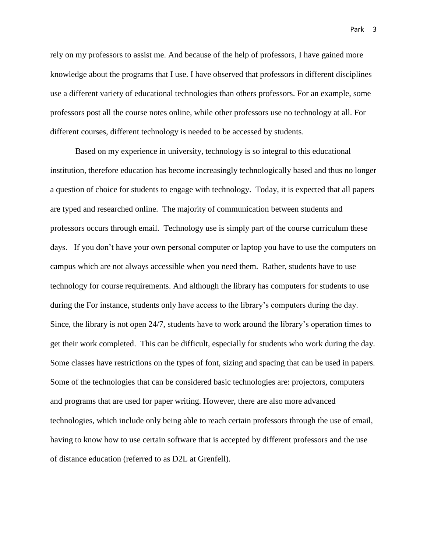rely on my professors to assist me. And because of the help of professors, I have gained more knowledge about the programs that I use. I have observed that professors in different disciplines use a different variety of educational technologies than others professors. For an example, some professors post all the course notes online, while other professors use no technology at all. For different courses, different technology is needed to be accessed by students.

Based on my experience in university, technology is so integral to this educational institution, therefore education has become increasingly technologically based and thus no longer a question of choice for students to engage with technology. Today, it is expected that all papers are typed and researched online. The majority of communication between students and professors occurs through email. Technology use is simply part of the course curriculum these days. If you don't have your own personal computer or laptop you have to use the computers on campus which are not always accessible when you need them. Rather, students have to use technology for course requirements. And although the library has computers for students to use during the For instance, students only have access to the library's computers during the day. Since, the library is not open 24/7, students have to work around the library's operation times to get their work completed. This can be difficult, especially for students who work during the day. Some classes have restrictions on the types of font, sizing and spacing that can be used in papers. Some of the technologies that can be considered basic technologies are: projectors, computers and programs that are used for paper writing. However, there are also more advanced technologies, which include only being able to reach certain professors through the use of email, having to know how to use certain software that is accepted by different professors and the use of distance education (referred to as D2L at Grenfell).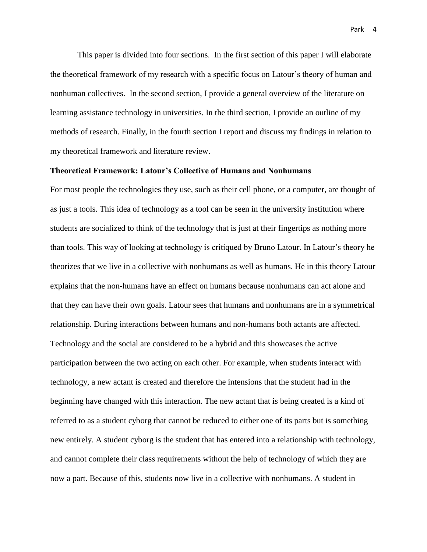This paper is divided into four sections. In the first section of this paper I will elaborate the theoretical framework of my research with a specific focus on Latour's theory of human and nonhuman collectives. In the second section, I provide a general overview of the literature on learning assistance technology in universities. In the third section, I provide an outline of my methods of research. Finally, in the fourth section I report and discuss my findings in relation to my theoretical framework and literature review.

### **Theoretical Framework: Latour's Collective of Humans and Nonhumans**

For most people the technologies they use, such as their cell phone, or a computer, are thought of as just a tools. This idea of technology as a tool can be seen in the university institution where students are socialized to think of the technology that is just at their fingertips as nothing more than tools. This way of looking at technology is critiqued by Bruno Latour. In Latour's theory he theorizes that we live in a collective with nonhumans as well as humans. He in this theory Latour explains that the non-humans have an effect on humans because nonhumans can act alone and that they can have their own goals. Latour sees that humans and nonhumans are in a symmetrical relationship. During interactions between humans and non-humans both actants are affected. Technology and the social are considered to be a hybrid and this showcases the active participation between the two acting on each other. For example, when students interact with technology, a new actant is created and therefore the intensions that the student had in the beginning have changed with this interaction. The new actant that is being created is a kind of referred to as a student cyborg that cannot be reduced to either one of its parts but is something new entirely. A student cyborg is the student that has entered into a relationship with technology, and cannot complete their class requirements without the help of technology of which they are now a part. Because of this, students now live in a collective with nonhumans. A student in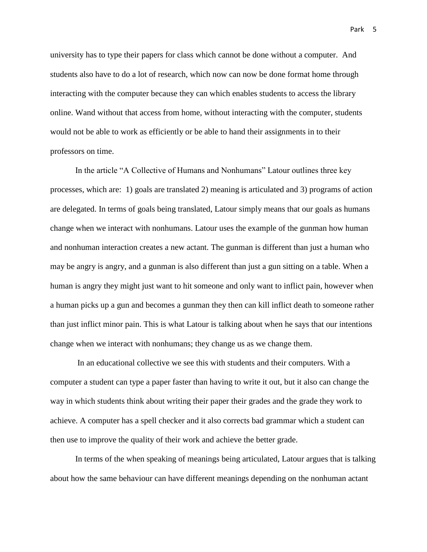university has to type their papers for class which cannot be done without a computer. And students also have to do a lot of research, which now can now be done format home through interacting with the computer because they can which enables students to access the library online. Wand without that access from home, without interacting with the computer, students would not be able to work as efficiently or be able to hand their assignments in to their professors on time.

In the article "A Collective of Humans and Nonhumans" Latour outlines three key processes, which are: 1) goals are translated 2) meaning is articulated and 3) programs of action are delegated. In terms of goals being translated, Latour simply means that our goals as humans change when we interact with nonhumans. Latour uses the example of the gunman how human and nonhuman interaction creates a new actant. The gunman is different than just a human who may be angry is angry, and a gunman is also different than just a gun sitting on a table. When a human is angry they might just want to hit someone and only want to inflict pain, however when a human picks up a gun and becomes a gunman they then can kill inflict death to someone rather than just inflict minor pain. This is what Latour is talking about when he says that our intentions change when we interact with nonhumans; they change us as we change them.

In an educational collective we see this with students and their computers. With a computer a student can type a paper faster than having to write it out, but it also can change the way in which students think about writing their paper their grades and the grade they work to achieve. A computer has a spell checker and it also corrects bad grammar which a student can then use to improve the quality of their work and achieve the better grade.

In terms of the when speaking of meanings being articulated, Latour argues that is talking about how the same behaviour can have different meanings depending on the nonhuman actant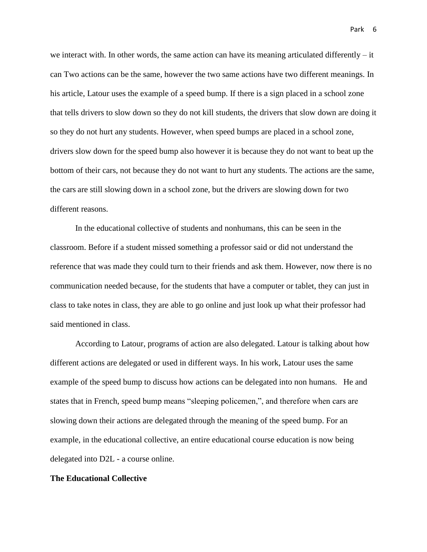we interact with. In other words, the same action can have its meaning articulated differently  $-$  it can Two actions can be the same, however the two same actions have two different meanings. In his article, Latour uses the example of a speed bump. If there is a sign placed in a school zone that tells drivers to slow down so they do not kill students, the drivers that slow down are doing it so they do not hurt any students. However, when speed bumps are placed in a school zone, drivers slow down for the speed bump also however it is because they do not want to beat up the bottom of their cars, not because they do not want to hurt any students. The actions are the same, the cars are still slowing down in a school zone, but the drivers are slowing down for two different reasons.

In the educational collective of students and nonhumans, this can be seen in the classroom. Before if a student missed something a professor said or did not understand the reference that was made they could turn to their friends and ask them. However, now there is no communication needed because, for the students that have a computer or tablet, they can just in class to take notes in class, they are able to go online and just look up what their professor had said mentioned in class.

According to Latour, programs of action are also delegated. Latour is talking about how different actions are delegated or used in different ways. In his work, Latour uses the same example of the speed bump to discuss how actions can be delegated into non humans. He and states that in French, speed bump means "sleeping policemen,", and therefore when cars are slowing down their actions are delegated through the meaning of the speed bump. For an example, in the educational collective, an entire educational course education is now being delegated into D2L - a course online.

#### **The Educational Collective**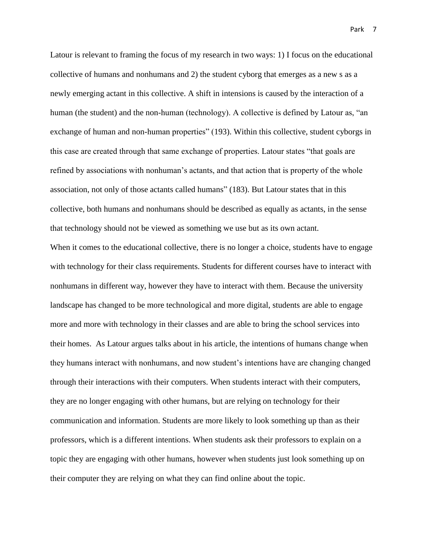Latour is relevant to framing the focus of my research in two ways: 1) I focus on the educational collective of humans and nonhumans and 2) the student cyborg that emerges as a new s as a newly emerging actant in this collective. A shift in intensions is caused by the interaction of a human (the student) and the non-human (technology). A collective is defined by Latour as, "an exchange of human and non-human properties" (193). Within this collective, student cyborgs in this case are created through that same exchange of properties. Latour states "that goals are refined by associations with nonhuman's actants, and that action that is property of the whole association, not only of those actants called humans" (183). But Latour states that in this collective, both humans and nonhumans should be described as equally as actants, in the sense that technology should not be viewed as something we use but as its own actant. When it comes to the educational collective, there is no longer a choice, students have to engage

with technology for their class requirements. Students for different courses have to interact with nonhumans in different way, however they have to interact with them. Because the university landscape has changed to be more technological and more digital, students are able to engage more and more with technology in their classes and are able to bring the school services into their homes. As Latour argues talks about in his article, the intentions of humans change when they humans interact with nonhumans, and now student's intentions have are changing changed through their interactions with their computers. When students interact with their computers, they are no longer engaging with other humans, but are relying on technology for their communication and information. Students are more likely to look something up than as their professors, which is a different intentions. When students ask their professors to explain on a topic they are engaging with other humans, however when students just look something up on their computer they are relying on what they can find online about the topic.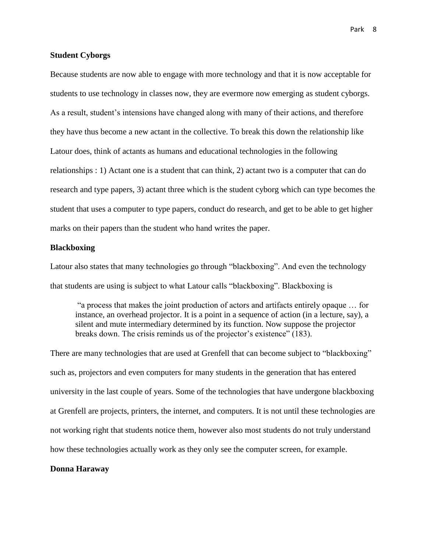Because students are now able to engage with more technology and that it is now acceptable for students to use technology in classes now, they are evermore now emerging as student cyborgs. As a result, student's intensions have changed along with many of their actions, and therefore they have thus become a new actant in the collective. To break this down the relationship like Latour does, think of actants as humans and educational technologies in the following relationships : 1) Actant one is a student that can think, 2) actant two is a computer that can do research and type papers, 3) actant three which is the student cyborg which can type becomes the student that uses a computer to type papers, conduct do research, and get to be able to get higher marks on their papers than the student who hand writes the paper.

# **Blackboxing**

Latour also states that many technologies go through "blackboxing". And even the technology that students are using is subject to what Latour calls "blackboxing". Blackboxing is

"a process that makes the joint production of actors and artifacts entirely opaque … for instance, an overhead projector. It is a point in a sequence of action (in a lecture, say), a silent and mute intermediary determined by its function. Now suppose the projector breaks down. The crisis reminds us of the projector's existence" (183).

There are many technologies that are used at Grenfell that can become subject to "blackboxing" such as, projectors and even computers for many students in the generation that has entered university in the last couple of years. Some of the technologies that have undergone blackboxing at Grenfell are projects, printers, the internet, and computers. It is not until these technologies are not working right that students notice them, however also most students do not truly understand how these technologies actually work as they only see the computer screen, for example.

# **Donna Haraway**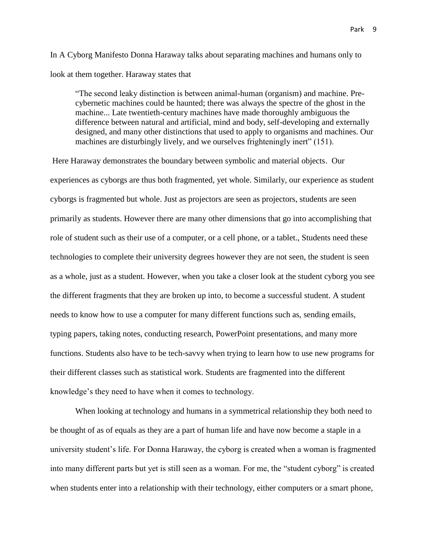In A Cyborg Manifesto Donna Haraway talks about separating machines and humans only to look at them together. Haraway states that

"The second leaky distinction is between animal-human (organism) and machine. Precybernetic machines could be haunted; there was always the spectre of the ghost in the machine... Late twentieth-century machines have made thoroughly ambiguous the difference between natural and artificial, mind and body, self-developing and externally designed, and many other distinctions that used to apply to organisms and machines. Our machines are disturbingly lively, and we ourselves frighteningly inert" (151).

Here Haraway demonstrates the boundary between symbolic and material objects. Our experiences as cyborgs are thus both fragmented, yet whole. Similarly, our experience as student cyborgs is fragmented but whole. Just as projectors are seen as projectors, students are seen primarily as students. However there are many other dimensions that go into accomplishing that role of student such as their use of a computer, or a cell phone, or a tablet., Students need these technologies to complete their university degrees however they are not seen, the student is seen as a whole, just as a student. However, when you take a closer look at the student cyborg you see the different fragments that they are broken up into, to become a successful student. A student needs to know how to use a computer for many different functions such as, sending emails, typing papers, taking notes, conducting research, PowerPoint presentations, and many more functions. Students also have to be tech-savvy when trying to learn how to use new programs for their different classes such as statistical work. Students are fragmented into the different knowledge's they need to have when it comes to technology.

When looking at technology and humans in a symmetrical relationship they both need to be thought of as of equals as they are a part of human life and have now become a staple in a university student's life. For Donna Haraway, the cyborg is created when a woman is fragmented into many different parts but yet is still seen as a woman. For me, the "student cyborg" is created when students enter into a relationship with their technology, either computers or a smart phone,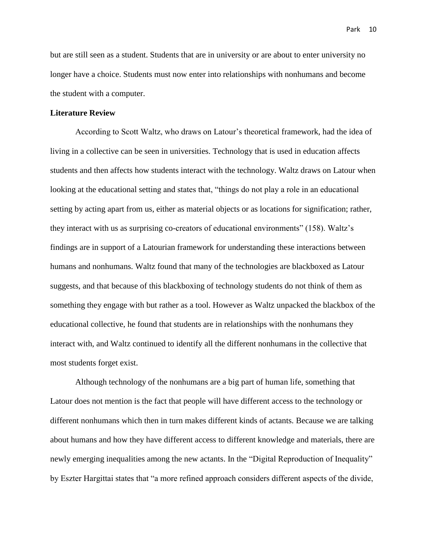but are still seen as a student. Students that are in university or are about to enter university no longer have a choice. Students must now enter into relationships with nonhumans and become the student with a computer.

# **Literature Review**

According to Scott Waltz, who draws on Latour's theoretical framework, had the idea of living in a collective can be seen in universities. Technology that is used in education affects students and then affects how students interact with the technology. Waltz draws on Latour when looking at the educational setting and states that, "things do not play a role in an educational setting by acting apart from us, either as material objects or as locations for signification; rather, they interact with us as surprising co-creators of educational environments" (158). Waltz's findings are in support of a Latourian framework for understanding these interactions between humans and nonhumans. Waltz found that many of the technologies are blackboxed as Latour suggests, and that because of this blackboxing of technology students do not think of them as something they engage with but rather as a tool. However as Waltz unpacked the blackbox of the educational collective, he found that students are in relationships with the nonhumans they interact with, and Waltz continued to identify all the different nonhumans in the collective that most students forget exist.

Although technology of the nonhumans are a big part of human life, something that Latour does not mention is the fact that people will have different access to the technology or different nonhumans which then in turn makes different kinds of actants. Because we are talking about humans and how they have different access to different knowledge and materials, there are newly emerging inequalities among the new actants. In the "Digital Reproduction of Inequality" by Eszter Hargittai states that "a more refined approach considers different aspects of the divide,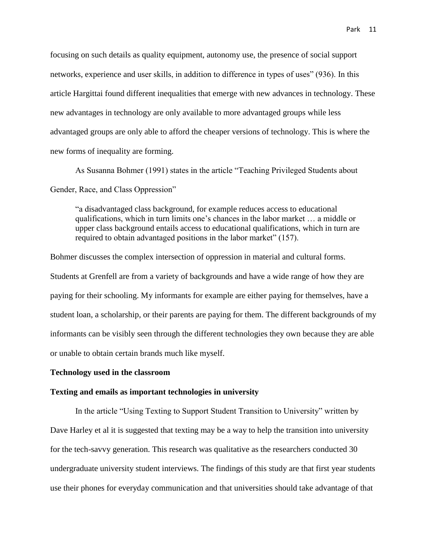focusing on such details as quality equipment, autonomy use, the presence of social support networks, experience and user skills, in addition to difference in types of uses" (936). In this article Hargittai found different inequalities that emerge with new advances in technology. These new advantages in technology are only available to more advantaged groups while less advantaged groups are only able to afford the cheaper versions of technology. This is where the new forms of inequality are forming.

As Susanna Bohmer (1991) states in the article "Teaching Privileged Students about Gender, Race, and Class Oppression"

"a disadvantaged class background, for example reduces access to educational qualifications, which in turn limits one's chances in the labor market … a middle or upper class background entails access to educational qualifications, which in turn are required to obtain advantaged positions in the labor market" (157).

Bohmer discusses the complex intersection of oppression in material and cultural forms. Students at Grenfell are from a variety of backgrounds and have a wide range of how they are paying for their schooling. My informants for example are either paying for themselves, have a student loan, a scholarship, or their parents are paying for them. The different backgrounds of my informants can be visibly seen through the different technologies they own because they are able or unable to obtain certain brands much like myself.

# **Technology used in the classroom**

# **Texting and emails as important technologies in university**

In the article "Using Texting to Support Student Transition to University" written by Dave Harley et al it is suggested that texting may be a way to help the transition into university for the tech-savvy generation. This research was qualitative as the researchers conducted 30 undergraduate university student interviews. The findings of this study are that first year students use their phones for everyday communication and that universities should take advantage of that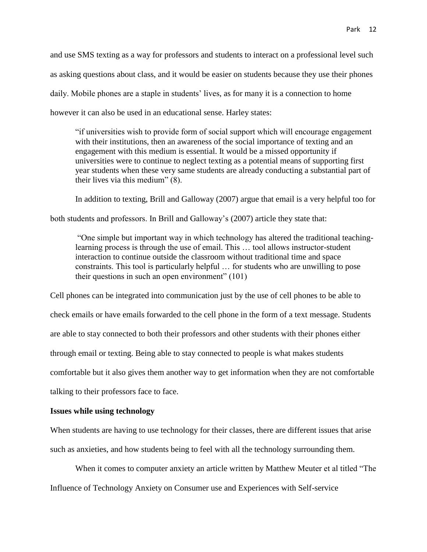and use SMS texting as a way for professors and students to interact on a professional level such as asking questions about class, and it would be easier on students because they use their phones daily. Mobile phones are a staple in students' lives, as for many it is a connection to home however it can also be used in an educational sense. Harley states:

"if universities wish to provide form of social support which will encourage engagement with their institutions, then an awareness of the social importance of texting and an engagement with this medium is essential. It would be a missed opportunity if universities were to continue to neglect texting as a potential means of supporting first year students when these very same students are already conducting a substantial part of their lives via this medium" (8).

In addition to texting, Brill and Galloway (2007) argue that email is a very helpful too for

both students and professors. In Brill and Galloway's (2007) article they state that:

"One simple but important way in which technology has altered the traditional teachinglearning process is through the use of email. This … tool allows instructor-student interaction to continue outside the classroom without traditional time and space constraints. This tool is particularly helpful … for students who are unwilling to pose their questions in such an open environment" (101)

Cell phones can be integrated into communication just by the use of cell phones to be able to check emails or have emails forwarded to the cell phone in the form of a text message. Students are able to stay connected to both their professors and other students with their phones either through email or texting. Being able to stay connected to people is what makes students comfortable but it also gives them another way to get information when they are not comfortable talking to their professors face to face.

#### **Issues while using technology**

When students are having to use technology for their classes, there are different issues that arise such as anxieties, and how students being to feel with all the technology surrounding them.

When it comes to computer anxiety an article written by Matthew Meuter et al titled "The Influence of Technology Anxiety on Consumer use and Experiences with Self-service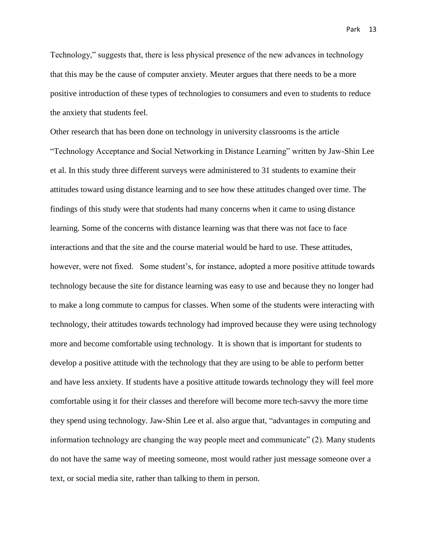Technology," suggests that, there is less physical presence of the new advances in technology that this may be the cause of computer anxiety. Meuter argues that there needs to be a more positive introduction of these types of technologies to consumers and even to students to reduce the anxiety that students feel.

Other research that has been done on technology in university classrooms is the article "Technology Acceptance and Social Networking in Distance Learning" written by Jaw-Shin Lee et al. In this study three different surveys were administered to 31 students to examine their attitudes toward using distance learning and to see how these attitudes changed over time. The findings of this study were that students had many concerns when it came to using distance learning. Some of the concerns with distance learning was that there was not face to face interactions and that the site and the course material would be hard to use. These attitudes, however, were not fixed. Some student's, for instance, adopted a more positive attitude towards technology because the site for distance learning was easy to use and because they no longer had to make a long commute to campus for classes. When some of the students were interacting with technology, their attitudes towards technology had improved because they were using technology more and become comfortable using technology. It is shown that is important for students to develop a positive attitude with the technology that they are using to be able to perform better and have less anxiety. If students have a positive attitude towards technology they will feel more comfortable using it for their classes and therefore will become more tech-savvy the more time they spend using technology. Jaw-Shin Lee et al. also argue that, "advantages in computing and information technology are changing the way people meet and communicate" (2). Many students do not have the same way of meeting someone, most would rather just message someone over a text, or social media site, rather than talking to them in person.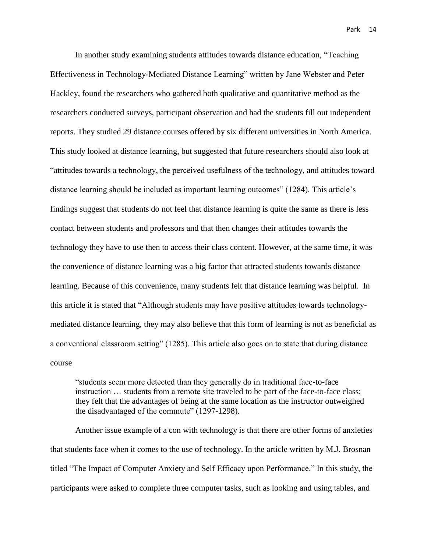In another study examining students attitudes towards distance education, "Teaching Effectiveness in Technology-Mediated Distance Learning" written by Jane Webster and Peter Hackley, found the researchers who gathered both qualitative and quantitative method as the researchers conducted surveys, participant observation and had the students fill out independent reports. They studied 29 distance courses offered by six different universities in North America. This study looked at distance learning, but suggested that future researchers should also look at "attitudes towards a technology, the perceived usefulness of the technology, and attitudes toward distance learning should be included as important learning outcomes" (1284). This article's findings suggest that students do not feel that distance learning is quite the same as there is less contact between students and professors and that then changes their attitudes towards the technology they have to use then to access their class content. However, at the same time, it was the convenience of distance learning was a big factor that attracted students towards distance learning. Because of this convenience, many students felt that distance learning was helpful. In this article it is stated that "Although students may have positive attitudes towards technologymediated distance learning, they may also believe that this form of learning is not as beneficial as a conventional classroom setting" (1285). This article also goes on to state that during distance course

"students seem more detected than they generally do in traditional face-to-face instruction … students from a remote site traveled to be part of the face-to-face class; they felt that the advantages of being at the same location as the instructor outweighed the disadvantaged of the commute" (1297-1298).

Another issue example of a con with technology is that there are other forms of anxieties that students face when it comes to the use of technology. In the article written by M.J. Brosnan titled "The Impact of Computer Anxiety and Self Efficacy upon Performance." In this study, the participants were asked to complete three computer tasks, such as looking and using tables, and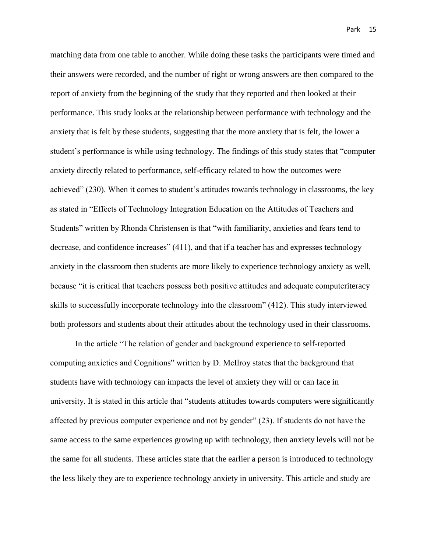matching data from one table to another. While doing these tasks the participants were timed and their answers were recorded, and the number of right or wrong answers are then compared to the report of anxiety from the beginning of the study that they reported and then looked at their performance. This study looks at the relationship between performance with technology and the anxiety that is felt by these students, suggesting that the more anxiety that is felt, the lower a student's performance is while using technology. The findings of this study states that "computer anxiety directly related to performance, self-efficacy related to how the outcomes were achieved" (230). When it comes to student's attitudes towards technology in classrooms, the key as stated in "Effects of Technology Integration Education on the Attitudes of Teachers and Students" written by Rhonda Christensen is that "with familiarity, anxieties and fears tend to decrease, and confidence increases" (411), and that if a teacher has and expresses technology anxiety in the classroom then students are more likely to experience technology anxiety as well, because "it is critical that teachers possess both positive attitudes and adequate computeriteracy skills to successfully incorporate technology into the classroom" (412). This study interviewed both professors and students about their attitudes about the technology used in their classrooms.

In the article "The relation of gender and background experience to self-reported computing anxieties and Cognitions" written by D. McIlroy states that the background that students have with technology can impacts the level of anxiety they will or can face in university. It is stated in this article that "students attitudes towards computers were significantly affected by previous computer experience and not by gender" (23). If students do not have the same access to the same experiences growing up with technology, then anxiety levels will not be the same for all students. These articles state that the earlier a person is introduced to technology the less likely they are to experience technology anxiety in university. This article and study are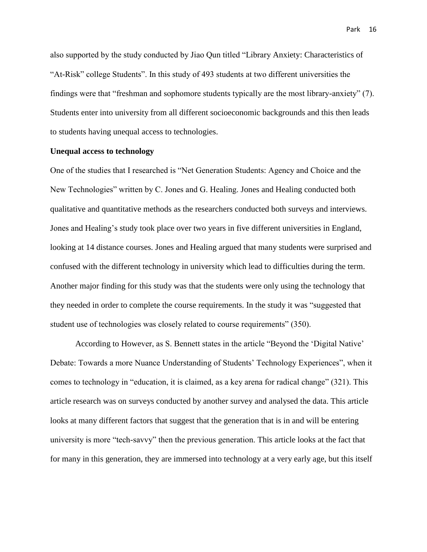also supported by the study conducted by Jiao Qun titled "Library Anxiety: Characteristics of "At-Risk" college Students". In this study of 493 students at two different universities the findings were that "freshman and sophomore students typically are the most library-anxiety" (7). Students enter into university from all different socioeconomic backgrounds and this then leads to students having unequal access to technologies.

# **Unequal access to technology**

One of the studies that I researched is "Net Generation Students: Agency and Choice and the New Technologies" written by C. Jones and G. Healing. Jones and Healing conducted both qualitative and quantitative methods as the researchers conducted both surveys and interviews. Jones and Healing's study took place over two years in five different universities in England, looking at 14 distance courses. Jones and Healing argued that many students were surprised and confused with the different technology in university which lead to difficulties during the term. Another major finding for this study was that the students were only using the technology that they needed in order to complete the course requirements. In the study it was "suggested that student use of technologies was closely related to course requirements" (350).

According to However, as S. Bennett states in the article "Beyond the 'Digital Native' Debate: Towards a more Nuance Understanding of Students' Technology Experiences", when it comes to technology in "education, it is claimed, as a key arena for radical change" (321). This article research was on surveys conducted by another survey and analysed the data. This article looks at many different factors that suggest that the generation that is in and will be entering university is more "tech-savvy" then the previous generation. This article looks at the fact that for many in this generation, they are immersed into technology at a very early age, but this itself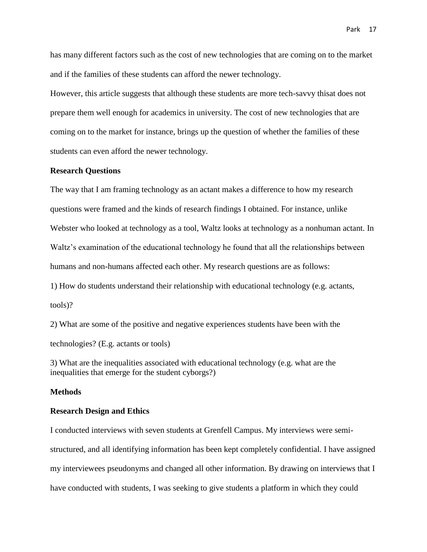has many different factors such as the cost of new technologies that are coming on to the market and if the families of these students can afford the newer technology.

However, this article suggests that although these students are more tech-savvy thisat does not prepare them well enough for academics in university. The cost of new technologies that are coming on to the market for instance, brings up the question of whether the families of these students can even afford the newer technology.

#### **Research Questions**

The way that I am framing technology as an actant makes a difference to how my research questions were framed and the kinds of research findings I obtained. For instance, unlike Webster who looked at technology as a tool, Waltz looks at technology as a nonhuman actant. In Waltz's examination of the educational technology he found that all the relationships between humans and non-humans affected each other. My research questions are as follows:

1) How do students understand their relationship with educational technology (e.g. actants, tools)?

2) What are some of the positive and negative experiences students have been with the technologies? (E.g. actants or tools)

3) What are the inequalities associated with educational technology (e.g. what are the inequalities that emerge for the student cyborgs?)

# **Methods**

#### **Research Design and Ethics**

I conducted interviews with seven students at Grenfell Campus. My interviews were semistructured, and all identifying information has been kept completely confidential. I have assigned my interviewees pseudonyms and changed all other information. By drawing on interviews that I have conducted with students, I was seeking to give students a platform in which they could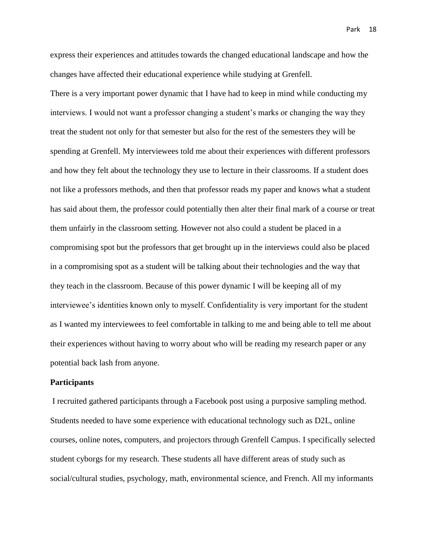express their experiences and attitudes towards the changed educational landscape and how the changes have affected their educational experience while studying at Grenfell.

There is a very important power dynamic that I have had to keep in mind while conducting my interviews. I would not want a professor changing a student's marks or changing the way they treat the student not only for that semester but also for the rest of the semesters they will be spending at Grenfell. My interviewees told me about their experiences with different professors and how they felt about the technology they use to lecture in their classrooms. If a student does not like a professors methods, and then that professor reads my paper and knows what a student has said about them, the professor could potentially then alter their final mark of a course or treat them unfairly in the classroom setting. However not also could a student be placed in a compromising spot but the professors that get brought up in the interviews could also be placed in a compromising spot as a student will be talking about their technologies and the way that they teach in the classroom. Because of this power dynamic I will be keeping all of my interviewee's identities known only to myself. Confidentiality is very important for the student as I wanted my interviewees to feel comfortable in talking to me and being able to tell me about their experiences without having to worry about who will be reading my research paper or any potential back lash from anyone.

#### **Participants**

I recruited gathered participants through a Facebook post using a purposive sampling method. Students needed to have some experience with educational technology such as D2L, online courses, online notes, computers, and projectors through Grenfell Campus. I specifically selected student cyborgs for my research. These students all have different areas of study such as social/cultural studies, psychology, math, environmental science, and French. All my informants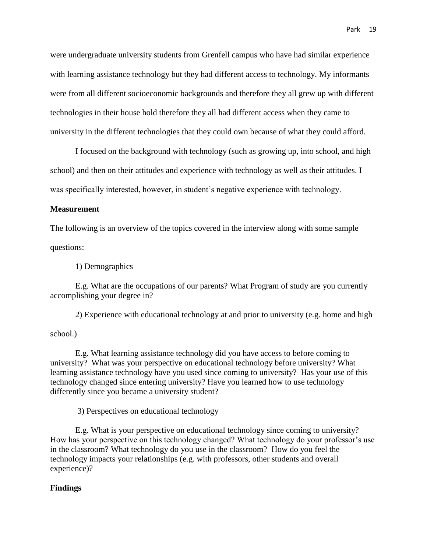were undergraduate university students from Grenfell campus who have had similar experience with learning assistance technology but they had different access to technology. My informants were from all different socioeconomic backgrounds and therefore they all grew up with different technologies in their house hold therefore they all had different access when they came to university in the different technologies that they could own because of what they could afford.

I focused on the background with technology (such as growing up, into school, and high school) and then on their attitudes and experience with technology as well as their attitudes. I was specifically interested, however, in student's negative experience with technology.

# **Measurement**

The following is an overview of the topics covered in the interview along with some sample questions:

1) Demographics

E.g. What are the occupations of our parents? What Program of study are you currently accomplishing your degree in?

2) Experience with educational technology at and prior to university (e.g. home and high

# school.)

E.g. What learning assistance technology did you have access to before coming to university? What was your perspective on educational technology before university? What learning assistance technology have you used since coming to university? Has your use of this technology changed since entering university? Have you learned how to use technology differently since you became a university student?

3) Perspectives on educational technology

E.g. What is your perspective on educational technology since coming to university? How has your perspective on this technology changed? What technology do your professor's use in the classroom? What technology do you use in the classroom? How do you feel the technology impacts your relationships (e.g. with professors, other students and overall experience)?

# **Findings**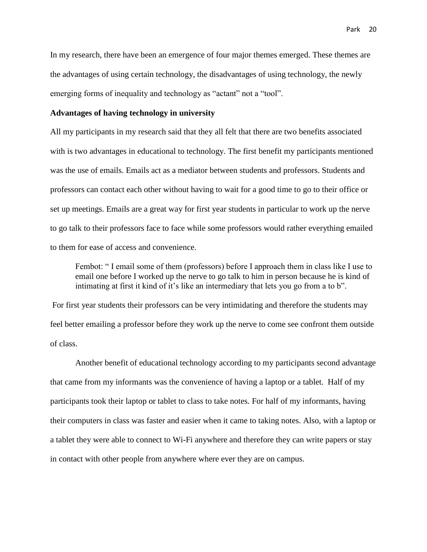In my research, there have been an emergence of four major themes emerged. These themes are the advantages of using certain technology, the disadvantages of using technology, the newly emerging forms of inequality and technology as "actant" not a "tool".

# **Advantages of having technology in university**

All my participants in my research said that they all felt that there are two benefits associated with is two advantages in educational to technology. The first benefit my participants mentioned was the use of emails. Emails act as a mediator between students and professors. Students and professors can contact each other without having to wait for a good time to go to their office or set up meetings. Emails are a great way for first year students in particular to work up the nerve to go talk to their professors face to face while some professors would rather everything emailed to them for ease of access and convenience.

Fembot: " I email some of them (professors) before I approach them in class like I use to email one before I worked up the nerve to go talk to him in person because he is kind of intimating at first it kind of it's like an intermediary that lets you go from a to b".

For first year students their professors can be very intimidating and therefore the students may feel better emailing a professor before they work up the nerve to come see confront them outside of class.

Another benefit of educational technology according to my participants second advantage that came from my informants was the convenience of having a laptop or a tablet. Half of my participants took their laptop or tablet to class to take notes. For half of my informants, having their computers in class was faster and easier when it came to taking notes. Also, with a laptop or a tablet they were able to connect to Wi-Fi anywhere and therefore they can write papers or stay in contact with other people from anywhere where ever they are on campus.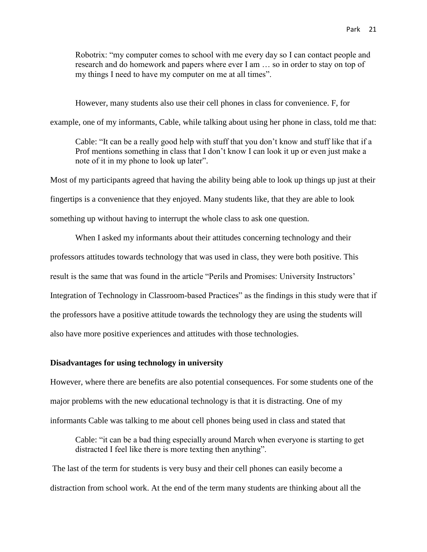Robotrix: "my computer comes to school with me every day so I can contact people and research and do homework and papers where ever I am … so in order to stay on top of my things I need to have my computer on me at all times".

However, many students also use their cell phones in class for convenience. F, for

example, one of my informants, Cable, while talking about using her phone in class, told me that:

Cable: "It can be a really good help with stuff that you don't know and stuff like that if a Prof mentions something in class that I don't know I can look it up or even just make a note of it in my phone to look up later".

Most of my participants agreed that having the ability being able to look up things up just at their fingertips is a convenience that they enjoyed. Many students like, that they are able to look something up without having to interrupt the whole class to ask one question.

When I asked my informants about their attitudes concerning technology and their professors attitudes towards technology that was used in class, they were both positive. This result is the same that was found in the article "Perils and Promises: University Instructors' Integration of Technology in Classroom-based Practices" as the findings in this study were that if the professors have a positive attitude towards the technology they are using the students will also have more positive experiences and attitudes with those technologies.

# **Disadvantages for using technology in university**

However, where there are benefits are also potential consequences. For some students one of the major problems with the new educational technology is that it is distracting. One of my informants Cable was talking to me about cell phones being used in class and stated that

Cable: "it can be a bad thing especially around March when everyone is starting to get distracted I feel like there is more texting then anything".

The last of the term for students is very busy and their cell phones can easily become a distraction from school work. At the end of the term many students are thinking about all the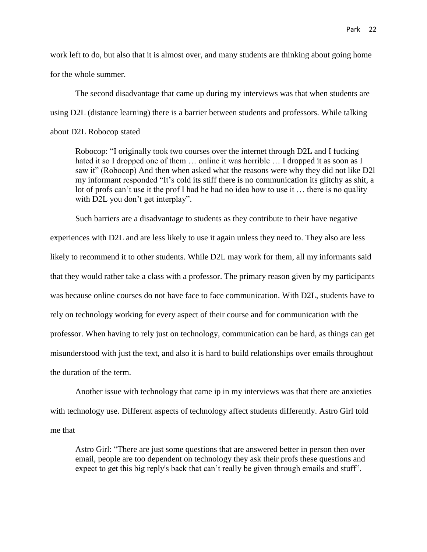work left to do, but also that it is almost over, and many students are thinking about going home for the whole summer.

The second disadvantage that came up during my interviews was that when students are using D2L (distance learning) there is a barrier between students and professors. While talking about D2L Robocop stated

Robocop: "I originally took two courses over the internet through D2L and I fucking hated it so I dropped one of them ... online it was horrible ... I dropped it as soon as I saw it" (Robocop) And then when asked what the reasons were why they did not like D2l my informant responded "It's cold its stiff there is no communication its glitchy as shit, a lot of profs can't use it the prof I had he had no idea how to use it … there is no quality with D2L you don't get interplay".

Such barriers are a disadvantage to students as they contribute to their have negative experiences with D2L and are less likely to use it again unless they need to. They also are less likely to recommend it to other students. While D2L may work for them, all my informants said that they would rather take a class with a professor. The primary reason given by my participants was because online courses do not have face to face communication. With D2L, students have to rely on technology working for every aspect of their course and for communication with the professor. When having to rely just on technology, communication can be hard, as things can get misunderstood with just the text, and also it is hard to build relationships over emails throughout the duration of the term.

Another issue with technology that came ip in my interviews was that there are anxieties with technology use. Different aspects of technology affect students differently. Astro Girl told me that

Astro Girl: "There are just some questions that are answered better in person then over email, people are too dependent on technology they ask their profs these questions and expect to get this big reply's back that can't really be given through emails and stuff".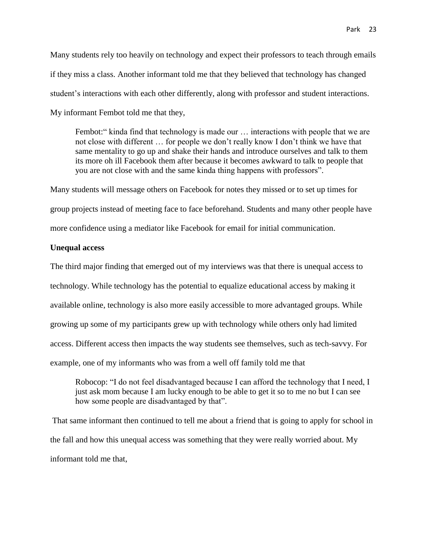Many students rely too heavily on technology and expect their professors to teach through emails if they miss a class. Another informant told me that they believed that technology has changed student's interactions with each other differently, along with professor and student interactions. My informant Fembot told me that they,

Fembot:" kinda find that technology is made our ... interactions with people that we are not close with different … for people we don't really know I don't think we have that same mentality to go up and shake their hands and introduce ourselves and talk to them its more oh ill Facebook them after because it becomes awkward to talk to people that you are not close with and the same kinda thing happens with professors".

Many students will message others on Facebook for notes they missed or to set up times for group projects instead of meeting face to face beforehand. Students and many other people have more confidence using a mediator like Facebook for email for initial communication.

# **Unequal access**

The third major finding that emerged out of my interviews was that there is unequal access to technology. While technology has the potential to equalize educational access by making it available online, technology is also more easily accessible to more advantaged groups. While growing up some of my participants grew up with technology while others only had limited access. Different access then impacts the way students see themselves, such as tech-savvy. For example, one of my informants who was from a well off family told me that

Robocop: "I do not feel disadvantaged because I can afford the technology that I need, I just ask mom because I am lucky enough to be able to get it so to me no but I can see how some people are disadvantaged by that".

That same informant then continued to tell me about a friend that is going to apply for school in the fall and how this unequal access was something that they were really worried about. My informant told me that,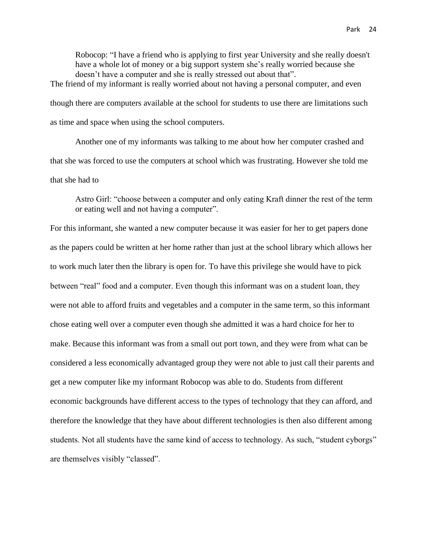Robocop: "I have a friend who is applying to first year University and she really doesn't have a whole lot of money or a big support system she's really worried because she doesn't have a computer and she is really stressed out about that".

The friend of my informant is really worried about not having a personal computer, and even though there are computers available at the school for students to use there are limitations such as time and space when using the school computers.

Another one of my informants was talking to me about how her computer crashed and that she was forced to use the computers at school which was frustrating. However she told me that she had to

Astro Girl: "choose between a computer and only eating Kraft dinner the rest of the term or eating well and not having a computer".

For this informant, she wanted a new computer because it was easier for her to get papers done as the papers could be written at her home rather than just at the school library which allows her to work much later then the library is open for. To have this privilege she would have to pick between "real" food and a computer. Even though this informant was on a student loan, they were not able to afford fruits and vegetables and a computer in the same term, so this informant chose eating well over a computer even though she admitted it was a hard choice for her to make. Because this informant was from a small out port town, and they were from what can be considered a less economically advantaged group they were not able to just call their parents and get a new computer like my informant Robocop was able to do. Students from different economic backgrounds have different access to the types of technology that they can afford, and therefore the knowledge that they have about different technologies is then also different among students. Not all students have the same kind of access to technology. As such, "student cyborgs" are themselves visibly "classed".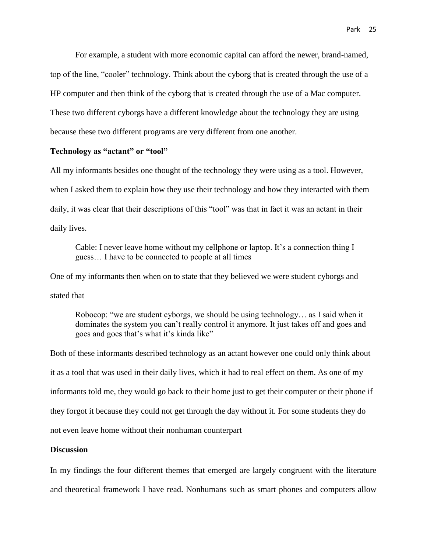For example, a student with more economic capital can afford the newer, brand-named, top of the line, "cooler" technology. Think about the cyborg that is created through the use of a HP computer and then think of the cyborg that is created through the use of a Mac computer. These two different cyborgs have a different knowledge about the technology they are using because these two different programs are very different from one another.

## **Technology as "actant" or "tool"**

All my informants besides one thought of the technology they were using as a tool. However, when I asked them to explain how they use their technology and how they interacted with them daily, it was clear that their descriptions of this "tool" was that in fact it was an actant in their daily lives.

Cable: I never leave home without my cellphone or laptop. It's a connection thing I guess… I have to be connected to people at all times

One of my informants then when on to state that they believed we were student cyborgs and stated that

Robocop: "we are student cyborgs, we should be using technology… as I said when it dominates the system you can't really control it anymore. It just takes off and goes and goes and goes that's what it's kinda like"

Both of these informants described technology as an actant however one could only think about it as a tool that was used in their daily lives, which it had to real effect on them. As one of my informants told me, they would go back to their home just to get their computer or their phone if they forgot it because they could not get through the day without it. For some students they do not even leave home without their nonhuman counterpart

# **Discussion**

In my findings the four different themes that emerged are largely congruent with the literature and theoretical framework I have read. Nonhumans such as smart phones and computers allow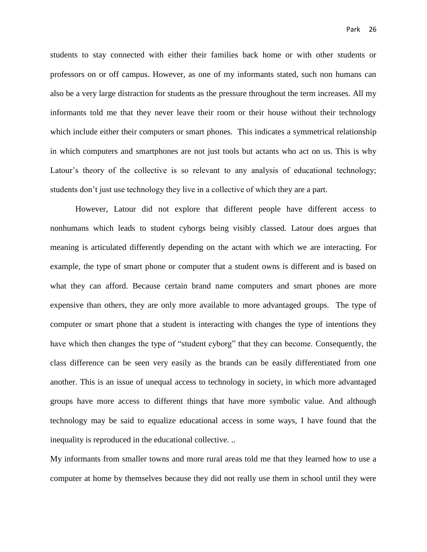students to stay connected with either their families back home or with other students or professors on or off campus. However, as one of my informants stated, such non humans can also be a very large distraction for students as the pressure throughout the term increases. All my informants told me that they never leave their room or their house without their technology which include either their computers or smart phones. This indicates a symmetrical relationship in which computers and smartphones are not just tools but actants who act on us. This is why Latour's theory of the collective is so relevant to any analysis of educational technology; students don't just use technology they live in a collective of which they are a part.

However, Latour did not explore that different people have different access to nonhumans which leads to student cyborgs being visibly classed. Latour does argues that meaning is articulated differently depending on the actant with which we are interacting. For example, the type of smart phone or computer that a student owns is different and is based on what they can afford. Because certain brand name computers and smart phones are more expensive than others, they are only more available to more advantaged groups. The type of computer or smart phone that a student is interacting with changes the type of intentions they have which then changes the type of "student cyborg" that they can become. Consequently, the class difference can be seen very easily as the brands can be easily differentiated from one another. This is an issue of unequal access to technology in society, in which more advantaged groups have more access to different things that have more symbolic value. And although technology may be said to equalize educational access in some ways, I have found that the inequality is reproduced in the educational collective. ..

My informants from smaller towns and more rural areas told me that they learned how to use a computer at home by themselves because they did not really use them in school until they were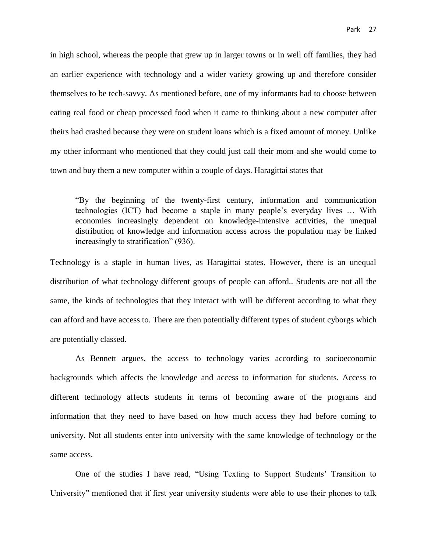in high school, whereas the people that grew up in larger towns or in well off families, they had an earlier experience with technology and a wider variety growing up and therefore consider themselves to be tech-savvy. As mentioned before, one of my informants had to choose between eating real food or cheap processed food when it came to thinking about a new computer after theirs had crashed because they were on student loans which is a fixed amount of money. Unlike my other informant who mentioned that they could just call their mom and she would come to town and buy them a new computer within a couple of days. Haragittai states that

"By the beginning of the twenty-first century, information and communication technologies (ICT) had become a staple in many people's everyday lives … With economies increasingly dependent on knowledge-intensive activities, the unequal distribution of knowledge and information access across the population may be linked increasingly to stratification" (936).

Technology is a staple in human lives, as Haragittai states. However, there is an unequal distribution of what technology different groups of people can afford.. Students are not all the same, the kinds of technologies that they interact with will be different according to what they can afford and have access to. There are then potentially different types of student cyborgs which are potentially classed.

As Bennett argues, the access to technology varies according to socioeconomic backgrounds which affects the knowledge and access to information for students. Access to different technology affects students in terms of becoming aware of the programs and information that they need to have based on how much access they had before coming to university. Not all students enter into university with the same knowledge of technology or the same access.

One of the studies I have read, "Using Texting to Support Students' Transition to University" mentioned that if first year university students were able to use their phones to talk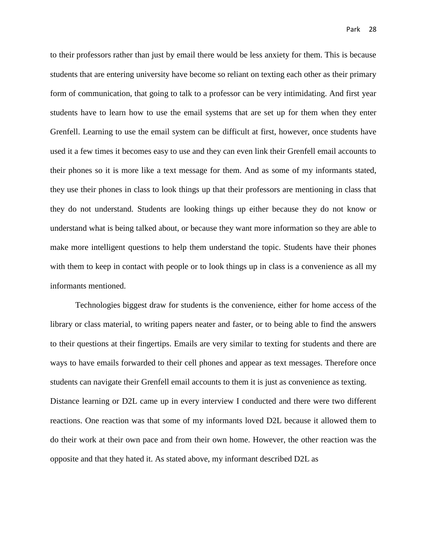to their professors rather than just by email there would be less anxiety for them. This is because students that are entering university have become so reliant on texting each other as their primary form of communication, that going to talk to a professor can be very intimidating. And first year students have to learn how to use the email systems that are set up for them when they enter Grenfell. Learning to use the email system can be difficult at first, however, once students have used it a few times it becomes easy to use and they can even link their Grenfell email accounts to their phones so it is more like a text message for them. And as some of my informants stated, they use their phones in class to look things up that their professors are mentioning in class that they do not understand. Students are looking things up either because they do not know or understand what is being talked about, or because they want more information so they are able to make more intelligent questions to help them understand the topic. Students have their phones with them to keep in contact with people or to look things up in class is a convenience as all my informants mentioned.

Technologies biggest draw for students is the convenience, either for home access of the library or class material, to writing papers neater and faster, or to being able to find the answers to their questions at their fingertips. Emails are very similar to texting for students and there are ways to have emails forwarded to their cell phones and appear as text messages. Therefore once students can navigate their Grenfell email accounts to them it is just as convenience as texting. Distance learning or D2L came up in every interview I conducted and there were two different reactions. One reaction was that some of my informants loved D2L because it allowed them to do their work at their own pace and from their own home. However, the other reaction was the opposite and that they hated it. As stated above, my informant described D2L as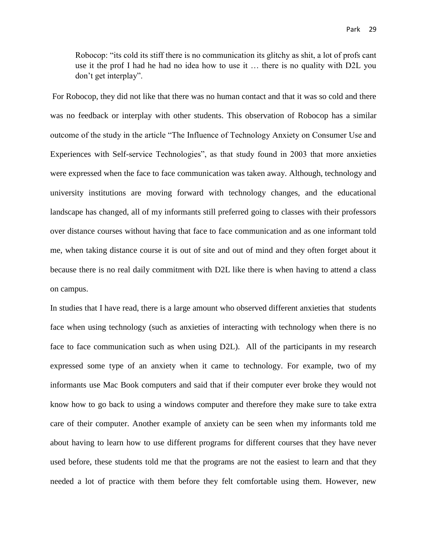Robocop: "its cold its stiff there is no communication its glitchy as shit, a lot of profs cant use it the prof I had he had no idea how to use it … there is no quality with D2L you don't get interplay".

For Robocop, they did not like that there was no human contact and that it was so cold and there was no feedback or interplay with other students. This observation of Robocop has a similar outcome of the study in the article "The Influence of Technology Anxiety on Consumer Use and Experiences with Self-service Technologies", as that study found in 2003 that more anxieties were expressed when the face to face communication was taken away. Although, technology and university institutions are moving forward with technology changes, and the educational landscape has changed, all of my informants still preferred going to classes with their professors over distance courses without having that face to face communication and as one informant told me, when taking distance course it is out of site and out of mind and they often forget about it because there is no real daily commitment with D2L like there is when having to attend a class on campus.

In studies that I have read, there is a large amount who observed different anxieties that students face when using technology (such as anxieties of interacting with technology when there is no face to face communication such as when using D2L). All of the participants in my research expressed some type of an anxiety when it came to technology. For example, two of my informants use Mac Book computers and said that if their computer ever broke they would not know how to go back to using a windows computer and therefore they make sure to take extra care of their computer. Another example of anxiety can be seen when my informants told me about having to learn how to use different programs for different courses that they have never used before, these students told me that the programs are not the easiest to learn and that they needed a lot of practice with them before they felt comfortable using them. However, new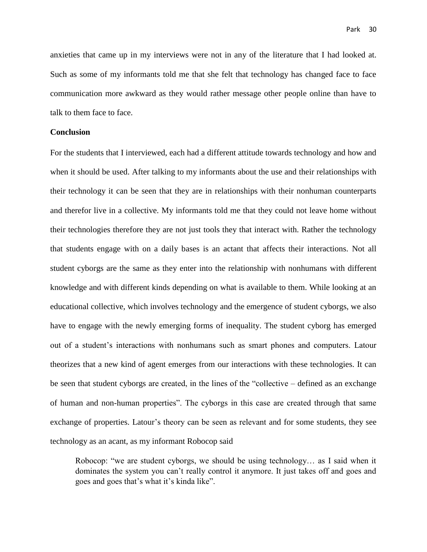anxieties that came up in my interviews were not in any of the literature that I had looked at. Such as some of my informants told me that she felt that technology has changed face to face communication more awkward as they would rather message other people online than have to talk to them face to face.

# **Conclusion**

For the students that I interviewed, each had a different attitude towards technology and how and when it should be used. After talking to my informants about the use and their relationships with their technology it can be seen that they are in relationships with their nonhuman counterparts and therefor live in a collective. My informants told me that they could not leave home without their technologies therefore they are not just tools they that interact with. Rather the technology that students engage with on a daily bases is an actant that affects their interactions. Not all student cyborgs are the same as they enter into the relationship with nonhumans with different knowledge and with different kinds depending on what is available to them. While looking at an educational collective, which involves technology and the emergence of student cyborgs, we also have to engage with the newly emerging forms of inequality. The student cyborg has emerged out of a student's interactions with nonhumans such as smart phones and computers. Latour theorizes that a new kind of agent emerges from our interactions with these technologies. It can be seen that student cyborgs are created, in the lines of the "collective – defined as an exchange of human and non-human properties". The cyborgs in this case are created through that same exchange of properties. Latour's theory can be seen as relevant and for some students, they see technology as an acant, as my informant Robocop said

Robocop: "we are student cyborgs, we should be using technology… as I said when it dominates the system you can't really control it anymore. It just takes off and goes and goes and goes that's what it's kinda like".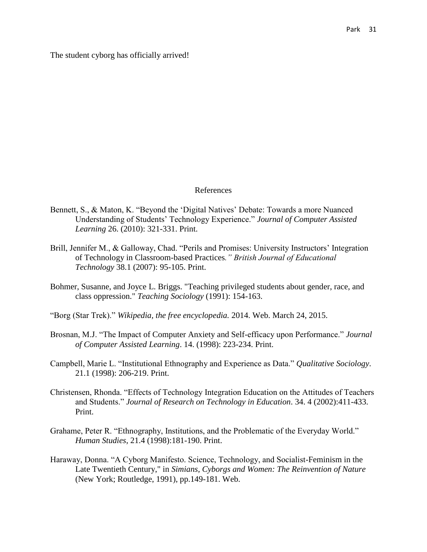The student cyborg has officially arrived!

#### References

- Bennett, S., & Maton, K. "Beyond the 'Digital Natives' Debate: Towards a more Nuanced Understanding of Students' Technology Experience." *Journal of Computer Assisted Learning* 26. (2010): 321-331. Print.
- Brill, Jennifer M., & Galloway, Chad. "Perils and Promises: University Instructors' Integration of Technology in Classroom-based Practices*." British Journal of Educational Technology* 38.1 (2007): 95-105. Print.
- Bohmer, Susanne, and Joyce L. Briggs. "Teaching privileged students about gender, race, and class oppression." *Teaching Sociology* (1991): 154-163.
- "Borg (Star Trek)." *Wikipedia, the free encyclopedia.* 2014. Web. March 24, 2015.
- Brosnan, M.J. "The Impact of Computer Anxiety and Self-efficacy upon Performance." *Journal of Computer Assisted Learning*. 14. (1998): 223-234. Print.
- Campbell, Marie L. "Institutional Ethnography and Experience as Data." *Qualitative Sociology*. 21.1 (1998): 206-219. Print.
- Christensen, Rhonda. "Effects of Technology Integration Education on the Attitudes of Teachers and Students." *Journal of Research on Technology in Education*. 34. 4 (2002):411-433. Print.
- Grahame, Peter R. "Ethnography, Institutions, and the Problematic of the Everyday World." *Human Studies*, 21.4 (1998):181-190. Print.
- Haraway, Donna. "A Cyborg Manifesto. Science, Technology, and Socialist-Feminism in the Late Twentieth Century," in *Simians, Cyborgs and Women: The Reinvention of Nature* (New York; Routledge, 1991), pp.149-181. Web.